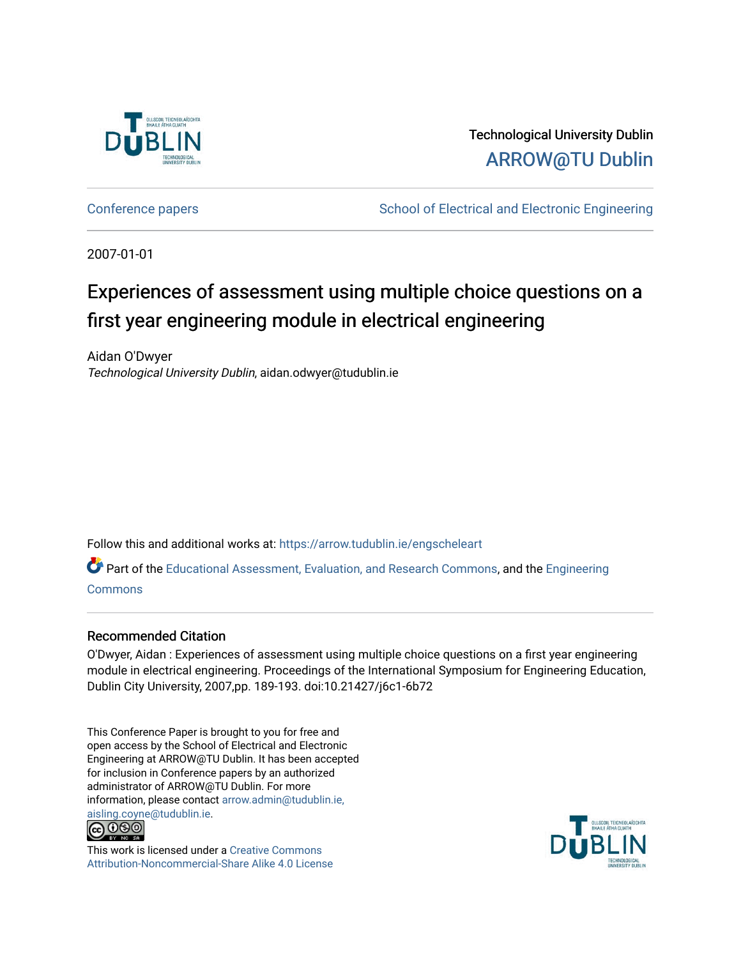

Technological University Dublin [ARROW@TU Dublin](https://arrow.tudublin.ie/) 

[Conference papers](https://arrow.tudublin.ie/engscheleart) **School of Electrical and Electronic Engineering** 

2007-01-01

# Experiences of assessment using multiple choice questions on a first year engineering module in electrical engineering

Aidan O'Dwyer Technological University Dublin, aidan.odwyer@tudublin.ie

Follow this and additional works at: [https://arrow.tudublin.ie/engscheleart](https://arrow.tudublin.ie/engscheleart?utm_source=arrow.tudublin.ie%2Fengscheleart%2F71&utm_medium=PDF&utm_campaign=PDFCoverPages) 

Part of the [Educational Assessment, Evaluation, and Research Commons](http://network.bepress.com/hgg/discipline/796?utm_source=arrow.tudublin.ie%2Fengscheleart%2F71&utm_medium=PDF&utm_campaign=PDFCoverPages), and the [Engineering](http://network.bepress.com/hgg/discipline/217?utm_source=arrow.tudublin.ie%2Fengscheleart%2F71&utm_medium=PDF&utm_campaign=PDFCoverPages)  [Commons](http://network.bepress.com/hgg/discipline/217?utm_source=arrow.tudublin.ie%2Fengscheleart%2F71&utm_medium=PDF&utm_campaign=PDFCoverPages)

#### Recommended Citation

O'Dwyer, Aidan : Experiences of assessment using multiple choice questions on a first year engineering module in electrical engineering. Proceedings of the International Symposium for Engineering Education, Dublin City University, 2007,pp. 189-193. doi:10.21427/j6c1-6b72

This Conference Paper is brought to you for free and open access by the School of Electrical and Electronic Engineering at ARROW@TU Dublin. It has been accepted for inclusion in Conference papers by an authorized administrator of ARROW@TU Dublin. For more information, please contact [arrow.admin@tudublin.ie,](mailto:arrow.admin@tudublin.ie,%20aisling.coyne@tudublin.ie)  [aisling.coyne@tudublin.ie.](mailto:arrow.admin@tudublin.ie,%20aisling.coyne@tudublin.ie)<br>© 090



This work is licensed under a [Creative Commons](http://creativecommons.org/licenses/by-nc-sa/4.0/) [Attribution-Noncommercial-Share Alike 4.0 License](http://creativecommons.org/licenses/by-nc-sa/4.0/)

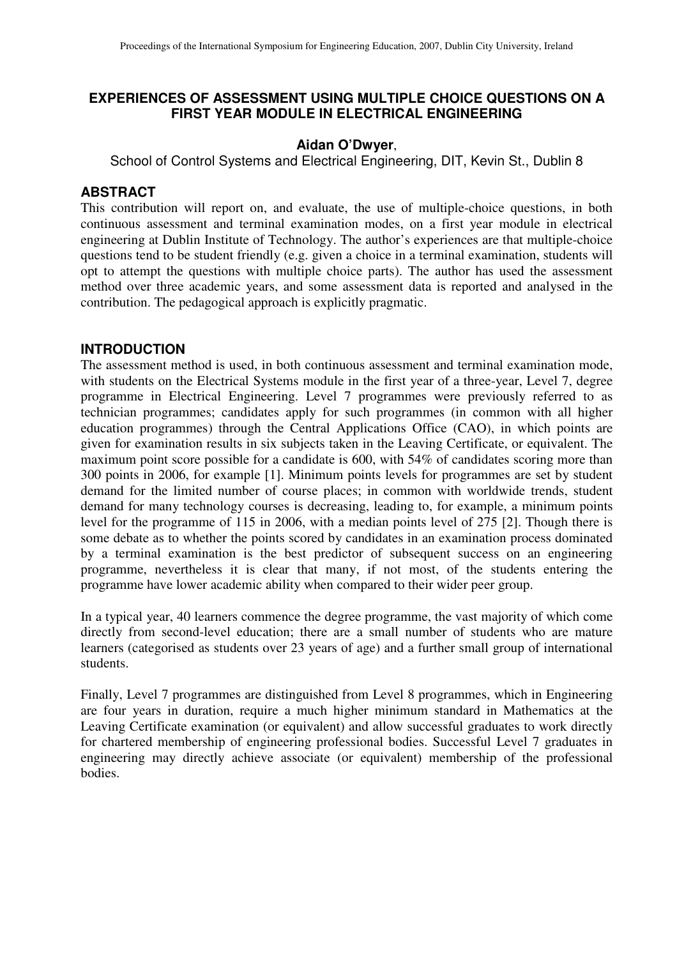# **EXPERIENCES OF ASSESSMENT USING MULTIPLE CHOICE QUESTIONS ON A FIRST YEAR MODULE IN ELECTRICAL ENGINEERING**

#### **Aidan O'Dwyer**,

School of Control Systems and Electrical Engineering, DIT, Kevin St., Dublin 8

## **ABSTRACT**

This contribution will report on, and evaluate, the use of multiple-choice questions, in both continuous assessment and terminal examination modes, on a first year module in electrical engineering at Dublin Institute of Technology. The author's experiences are that multiple-choice questions tend to be student friendly (e.g. given a choice in a terminal examination, students will opt to attempt the questions with multiple choice parts). The author has used the assessment method over three academic years, and some assessment data is reported and analysed in the contribution. The pedagogical approach is explicitly pragmatic.

## **INTRODUCTION**

The assessment method is used, in both continuous assessment and terminal examination mode, with students on the Electrical Systems module in the first year of a three-year, Level 7, degree programme in Electrical Engineering. Level 7 programmes were previously referred to as technician programmes; candidates apply for such programmes (in common with all higher education programmes) through the Central Applications Office (CAO), in which points are given for examination results in six subjects taken in the Leaving Certificate, or equivalent. The maximum point score possible for a candidate is 600, with 54% of candidates scoring more than 300 points in 2006, for example [1]. Minimum points levels for programmes are set by student demand for the limited number of course places; in common with worldwide trends, student demand for many technology courses is decreasing, leading to, for example, a minimum points level for the programme of 115 in 2006, with a median points level of 275 [2]. Though there is some debate as to whether the points scored by candidates in an examination process dominated by a terminal examination is the best predictor of subsequent success on an engineering programme, nevertheless it is clear that many, if not most, of the students entering the programme have lower academic ability when compared to their wider peer group.

In a typical year, 40 learners commence the degree programme, the vast majority of which come directly from second-level education; there are a small number of students who are mature learners (categorised as students over 23 years of age) and a further small group of international students.

Finally, Level 7 programmes are distinguished from Level 8 programmes, which in Engineering are four years in duration, require a much higher minimum standard in Mathematics at the Leaving Certificate examination (or equivalent) and allow successful graduates to work directly for chartered membership of engineering professional bodies. Successful Level 7 graduates in engineering may directly achieve associate (or equivalent) membership of the professional bodies.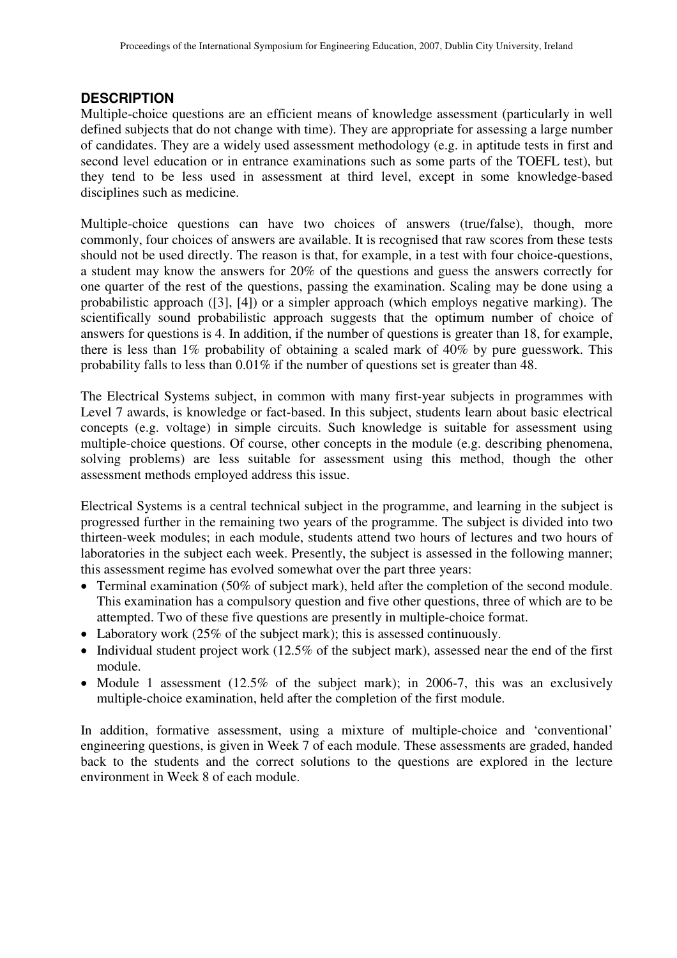# **DESCRIPTION**

Multiple-choice questions are an efficient means of knowledge assessment (particularly in well defined subjects that do not change with time). They are appropriate for assessing a large number of candidates. They are a widely used assessment methodology (e.g. in aptitude tests in first and second level education or in entrance examinations such as some parts of the TOEFL test), but they tend to be less used in assessment at third level, except in some knowledge-based disciplines such as medicine.

Multiple-choice questions can have two choices of answers (true/false), though, more commonly, four choices of answers are available. It is recognised that raw scores from these tests should not be used directly. The reason is that, for example, in a test with four choice-questions, a student may know the answers for 20% of the questions and guess the answers correctly for one quarter of the rest of the questions, passing the examination. Scaling may be done using a probabilistic approach ([3], [4]) or a simpler approach (which employs negative marking). The scientifically sound probabilistic approach suggests that the optimum number of choice of answers for questions is 4. In addition, if the number of questions is greater than 18, for example, there is less than 1% probability of obtaining a scaled mark of 40% by pure guesswork. This probability falls to less than 0.01% if the number of questions set is greater than 48.

The Electrical Systems subject, in common with many first-year subjects in programmes with Level 7 awards, is knowledge or fact-based. In this subject, students learn about basic electrical concepts (e.g. voltage) in simple circuits. Such knowledge is suitable for assessment using multiple-choice questions. Of course, other concepts in the module (e.g. describing phenomena, solving problems) are less suitable for assessment using this method, though the other assessment methods employed address this issue.

Electrical Systems is a central technical subject in the programme, and learning in the subject is progressed further in the remaining two years of the programme. The subject is divided into two thirteen-week modules; in each module, students attend two hours of lectures and two hours of laboratories in the subject each week. Presently, the subject is assessed in the following manner; this assessment regime has evolved somewhat over the part three years:

- Terminal examination (50% of subject mark), held after the completion of the second module. This examination has a compulsory question and five other questions, three of which are to be attempted. Two of these five questions are presently in multiple-choice format.
- Laboratory work (25% of the subject mark); this is assessed continuously.
- Individual student project work (12.5% of the subject mark), assessed near the end of the first module.
- Module 1 assessment (12.5% of the subject mark); in 2006-7, this was an exclusively multiple-choice examination, held after the completion of the first module.

In addition, formative assessment, using a mixture of multiple-choice and 'conventional' engineering questions, is given in Week 7 of each module. These assessments are graded, handed back to the students and the correct solutions to the questions are explored in the lecture environment in Week 8 of each module.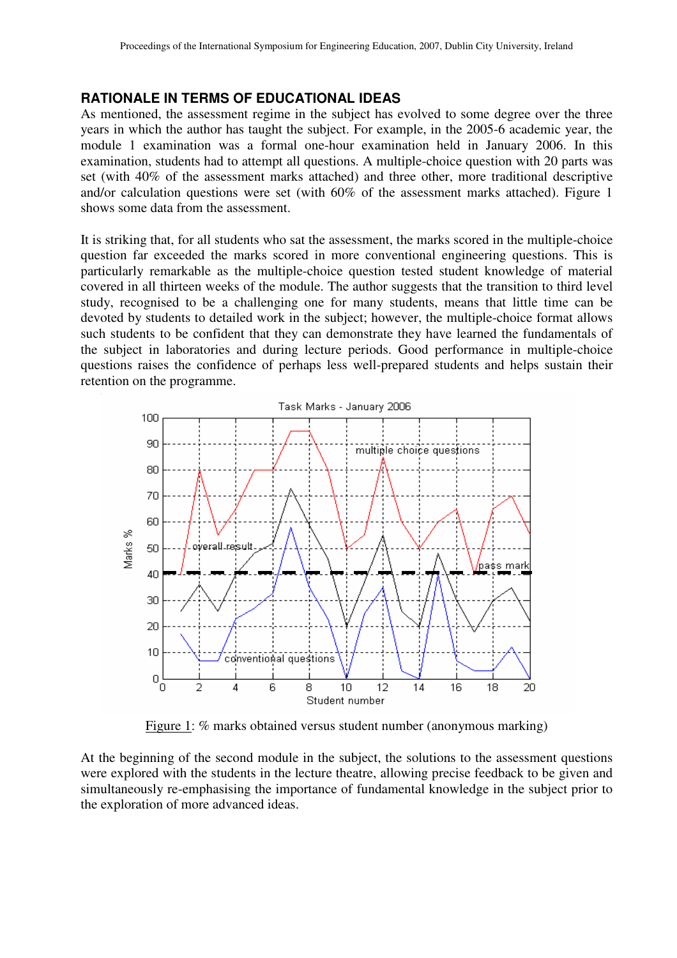#### **RATIONALE IN TERMS OF EDUCATIONAL IDEAS**

As mentioned, the assessment regime in the subject has evolved to some degree over the three years in which the author has taught the subject. For example, in the 2005-6 academic year, the module 1 examination was a formal one-hour examination held in January 2006. In this examination, students had to attempt all questions. A multiple-choice question with 20 parts was set (with 40% of the assessment marks attached) and three other, more traditional descriptive and/or calculation questions were set (with 60% of the assessment marks attached). Figure 1 shows some data from the assessment.

It is striking that, for all students who sat the assessment, the marks scored in the multiple-choice question far exceeded the marks scored in more conventional engineering questions. This is particularly remarkable as the multiple-choice question tested student knowledge of material covered in all thirteen weeks of the module. The author suggests that the transition to third level study, recognised to be a challenging one for many students, means that little time can be devoted by students to detailed work in the subject; however, the multiple-choice format allows such students to be confident that they can demonstrate they have learned the fundamentals of the subject in laboratories and during lecture periods. Good performance in multiple-choice questions raises the confidence of perhaps less well-prepared students and helps sustain their retention on the programme.



Figure 1: % marks obtained versus student number (anonymous marking)

At the beginning of the second module in the subject, the solutions to the assessment questions were explored with the students in the lecture theatre, allowing precise feedback to be given and simultaneously re-emphasising the importance of fundamental knowledge in the subject prior to the exploration of more advanced ideas.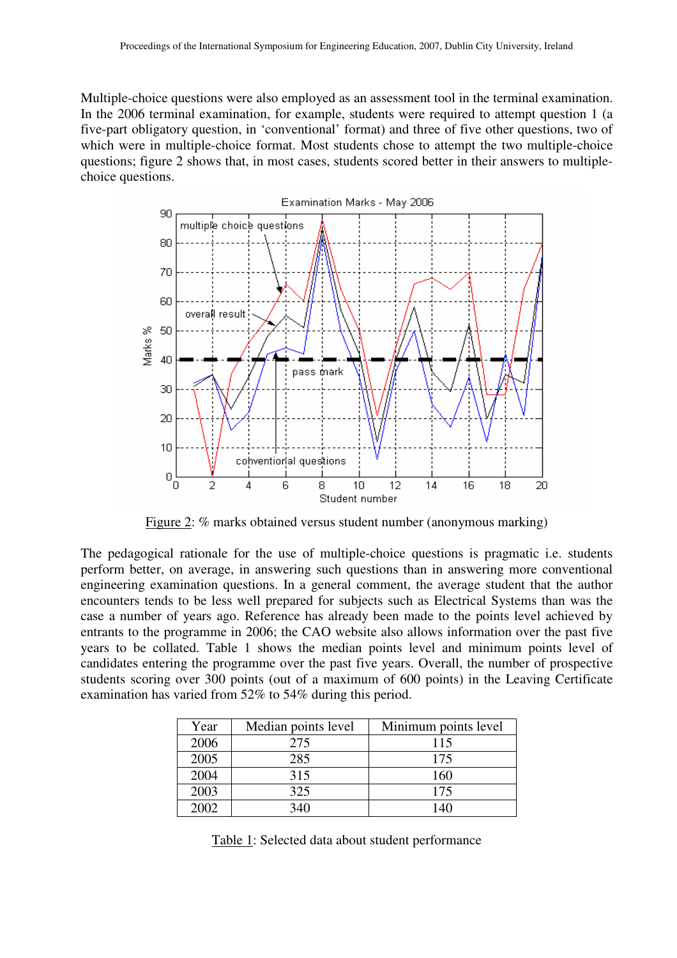Multiple-choice questions were also employed as an assessment tool in the terminal examination. In the 2006 terminal examination, for example, students were required to attempt question 1 (a five-part obligatory question, in 'conventional' format) and three of five other questions, two of which were in multiple-choice format. Most students chose to attempt the two multiple-choice questions; figure 2 shows that, in most cases, students scored better in their answers to multiplechoice questions.



Figure 2: % marks obtained versus student number (anonymous marking)

The pedagogical rationale for the use of multiple-choice questions is pragmatic i.e. students perform better, on average, in answering such questions than in answering more conventional engineering examination questions. In a general comment, the average student that the author encounters tends to be less well prepared for subjects such as Electrical Systems than was the case a number of years ago. Reference has already been made to the points level achieved by entrants to the programme in 2006; the CAO website also allows information over the past five years to be collated. Table 1 shows the median points level and minimum points level of candidates entering the programme over the past five years. Overall, the number of prospective students scoring over 300 points (out of a maximum of 600 points) in the Leaving Certificate examination has varied from 52% to 54% during this period.

| Year  | Median points level | Minimum points level |
|-------|---------------------|----------------------|
| 2006  | 275                 | 115                  |
| 2005  | 285                 | 175                  |
| 2004  | 315                 | 160                  |
| 2003  | 325                 | 175                  |
| 2002. | 340                 | 140                  |

Table 1: Selected data about student performance